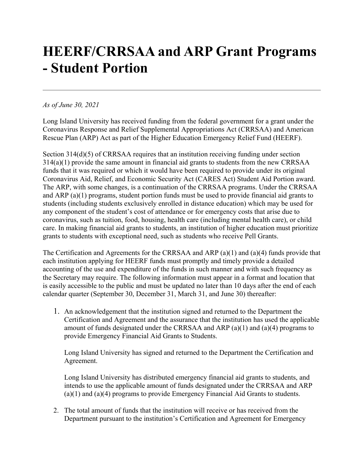## **HEERF/CRRSAA and ARP Grant Programs - Student Portion**

## *As of June 30, 2021*

Long Island University has received funding from the federal government for a grant under the Coronavirus Response and Relief Supplemental Appropriations Act (CRRSAA) and American Rescue Plan (ARP) Act as part of the Higher Education Emergency Relief Fund (HEERF).

Section 314(d)(5) of CRRSAA requires that an institution receiving funding under section 314(a)(1) provide the same amount in financial aid grants to students from the new CRRSAA funds that it was required or which it would have been required to provide under its original Coronavirus Aid, Relief, and Economic Security Act (CARES Act) Student Aid Portion award. The ARP, with some changes, is a continuation of the CRRSAA programs. Under the CRRSAA and ARP (a)(1) programs, student portion funds must be used to provide financial aid grants to students (including students exclusively enrolled in distance education) which may be used for any component of the student's cost of attendance or for emergency costs that arise due to coronavirus, such as tuition, food, housing, health care (including mental health care), or child care. In making financial aid grants to students, an institution of higher education must prioritize grants to students with exceptional need, such as students who receive Pell Grants.

The Certification and Agreements for the CRRSAA and ARP (a)(1) and (a)(4) funds provide that each institution applying for HEERF funds must promptly and timely provide a detailed accounting of the use and expenditure of the funds in such manner and with such frequency as the Secretary may require. The following information must appear in a format and location that is easily accessible to the public and must be updated no later than 10 days after the end of each calendar quarter (September 30, December 31, March 31, and June 30) thereafter:

1. An acknowledgement that the institution signed and returned to the Department the Certification and Agreement and the assurance that the institution has used the applicable amount of funds designated under the CRRSAA and ARP (a)(1) and (a)(4) programs to provide Emergency Financial Aid Grants to Students.

Long Island University has signed and returned to the Department the Certification and Agreement.

Long Island University has distributed emergency financial aid grants to students, and intends to use the applicable amount of funds designated under the CRRSAA and ARP (a)(1) and (a)(4) programs to provide Emergency Financial Aid Grants to students.

2. The total amount of funds that the institution will receive or has received from the Department pursuant to the institution's Certification and Agreement for Emergency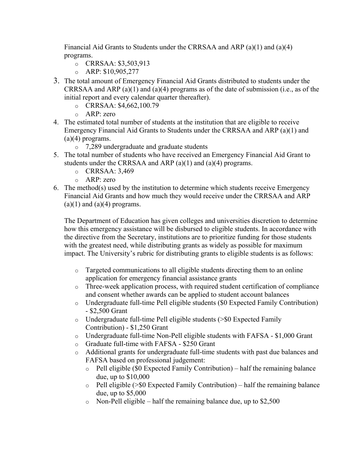Financial Aid Grants to Students under the CRRSAA and ARP (a)(1) and (a)(4) programs.

- o CRRSAA: \$3,503,913
- $O$  ARP: \$10,905,277
- 3. The total amount of Emergency Financial Aid Grants distributed to students under the CRRSAA and ARP (a)(1) and (a)(4) programs as of the date of submission (i.e., as of the initial report and every calendar quarter thereafter).
	- o CRRSAA: \$4,662,100.79
	- o ARP: zero
- 4. The estimated total number of students at the institution that are eligible to receive Emergency Financial Aid Grants to Students under the CRRSAA and ARP (a)(1) and  $(a)(4)$  programs.
	- o 7,289 undergraduate and graduate students
- 5. The total number of students who have received an Emergency Financial Aid Grant to students under the CRRSAA and ARP (a)(1) and (a)(4) programs.
	- $O<sub>Q</sub>$  CRRSAA: 3.469
	- o ARP: zero
- 6. The method(s) used by the institution to determine which students receive Emergency Financial Aid Grants and how much they would receive under the CRRSAA and ARP  $(a)(1)$  and  $(a)(4)$  programs.

The Department of Education has given colleges and universities discretion to determine how this emergency assistance will be disbursed to eligible students. In accordance with the directive from the Secretary, institutions are to prioritize funding for those students with the greatest need, while distributing grants as widely as possible for maximum impact. The University's rubric for distributing grants to eligible students is as follows:

- $\circ$  Targeted communications to all eligible students directing them to an online application for emergency financial assistance grants
- o Three-week application process, with required student certification of compliance and consent whether awards can be applied to student account balances
- o Undergraduate full-time Pell eligible students (\$0 Expected Family Contribution) - \$2,500 Grant
- $\circ$  Undergraduate full-time Pell eligible students ( $\geq$  Expected Family Contribution) - \$1,250 Grant
- $\circ$  Undergraduate full-time Non-Pell eligible students with FAFSA \$1,000 Grant
- o Graduate full-time with FAFSA \$250 Grant
- o Additional grants for undergraduate full-time students with past due balances and FAFSA based on professional judgement:
	- o Pell eligible (\$0 Expected Family Contribution) half the remaining balance due, up to \$10,000
	- $\circ$  Pell eligible ( $\geq$  Expected Family Contribution) half the remaining balance due, up to \$5,000
	- $\circ$  Non-Pell eligible half the remaining balance due, up to \$2,500